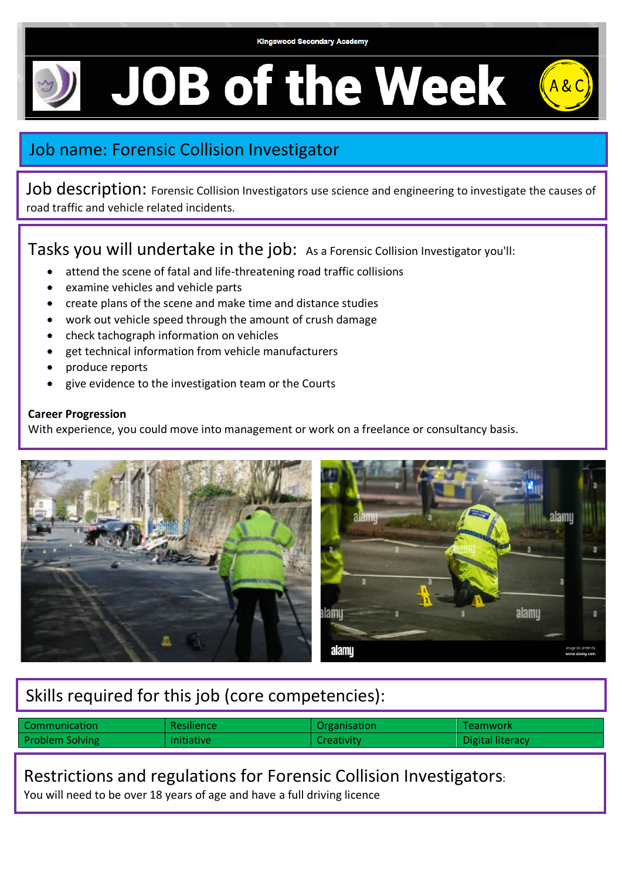

**JOB of the Week** 

### Job name: Forensic Collision Investigator

Job description: Forensic Collision Investigators use science and engineering to investigate the causes of road traffic and vehicle related incidents.

Tasks you will undertake in the job: As a Forensic Collision Investigator you'll:

- attend the scene of fatal and life-threatening road traffic collisions
- examine vehicles and vehicle parts
- create plans of the scene and make time and distance studies
- work out vehicle speed through the amount of crush damage
- check tachograph information on vehicles
- get technical information from vehicle manufacturers
- produce reports
- give evidence to the investigation team or the Courts

#### **Career Progression**

With experience, you could move into management or work on a freelance or consultancy basis.



# Skills required for this job (core competencies):

| Communication          | <b>Resilience</b> | <b>Organisation</b> | l Teamwork       |
|------------------------|-------------------|---------------------|------------------|
| <b>Problem Solving</b> | <b>Initiative</b> | Creativity          | Digital literacy |

#### Restrictions and regulations for Forensic Collision Investigators:

You will need to be over 18 years of age and have a full driving licence